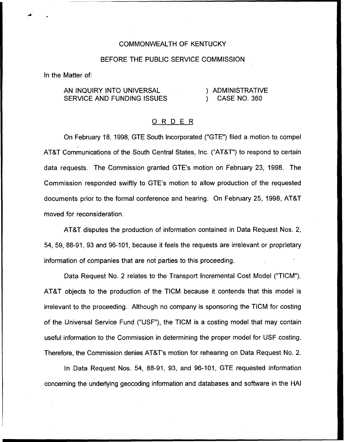## COMMONWEALTH OF KENTUCKY

## BEFORE THE PUBLIC SERVICE COMMISSION

In the Matter of:

AN INQUIRY INTO UNIVERSAL SERVICE AND FUNDING ISSUES ) ADMINISTRATIVE ) CASE NO. 360

## ORDER

On February 18, 1998, GTE South Incorporated ("GTE") filed a motion to compel ATBT Communications of the South Central States, Inc. ("ATBT") to respond to certain data requests. The Commission granted GTE's motion on February 23, 1998. The Commission responded swiftly to GTE's motion to allow production of the requested documents prior to the formal conference and hearing. On February 25, 1998, ATBT moved for reconsideration.

ATBT disputes the production of information contained in Data Request Nos. 2, 54, 59, 88-91, 93 and 96-101, because it feels the requests are irrelevant or proprietary information of companies that are not parties to this proceeding.

Data Request No. 2 relates to the Transport Incremental Cost Model ("TICM"). ATBT objects to the production of the TICM because it contends that this model is irrelevant to the proceeding. Although no company is sponsoring the TICM for costing of the Universal Service Fund ("USF"), the TICM is a costing model that may contain useful information to the Commission in determining the proper model for USF costing. Therefore, the Commission denies ATBT's motion for rehearing on Data Request No. 2.

In Data Request Nos. 54, 88-91, 93, and 96-101, GTE requested information concerning the underlying geocoding information and databases and software in the HAI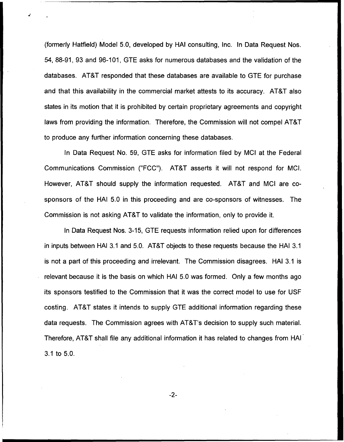(formerly Hatfield) Model 5.0, developed by HAI consulting, Inc. In Data Request Nos. 54, 88-91, 93 and 96-101, GTE asks for numerous databases and the validation of the databases. AT&T responded that these databases are available to GTE for purchase and that this availability in the commercial market attests to its accuracy. AT&T also states in its motion that it is prohibited by certain proprietary agreements and copyright laws from providing the information. Therefore, the Commission will not compel AT&T to produce any further information concerning these databases.

In Data Request No. 59, GTE asks for information filed by MCI at the Federal Communications Commission ("FCC"). ATBT asserts it will not respond for MCI. However, AT&T should supply the information requested. AT&T and MCI are cosponsors of the HAI 5.0 in this proceeding and are co-sponsors of witnesses. The Commission is not asking ATBT to validate the information, only to provide it.

In Data Request Nos. 3-15, GTE requests information relied upon for differences in inputs between HAI 3.1 and 5.0. AT&T objects to these requests because the HAI 3.1 is not a part of this proceeding and irrelevant. The Commission disagrees. HAI 3.1 is relevant because it is the basis on which HAI 5.0 was formed. Only a few months ago its sponsors testified to the Commission that it was the correct model to use for USF costing. AT&T states it intends to supply GTE additional information regarding these data requests. The Commission agrees with ATBT's decision to supply such material. Therefore, AT&T shall file any additional information it has related to changes from HAI 3.1 to 5.0.

 $-2-$